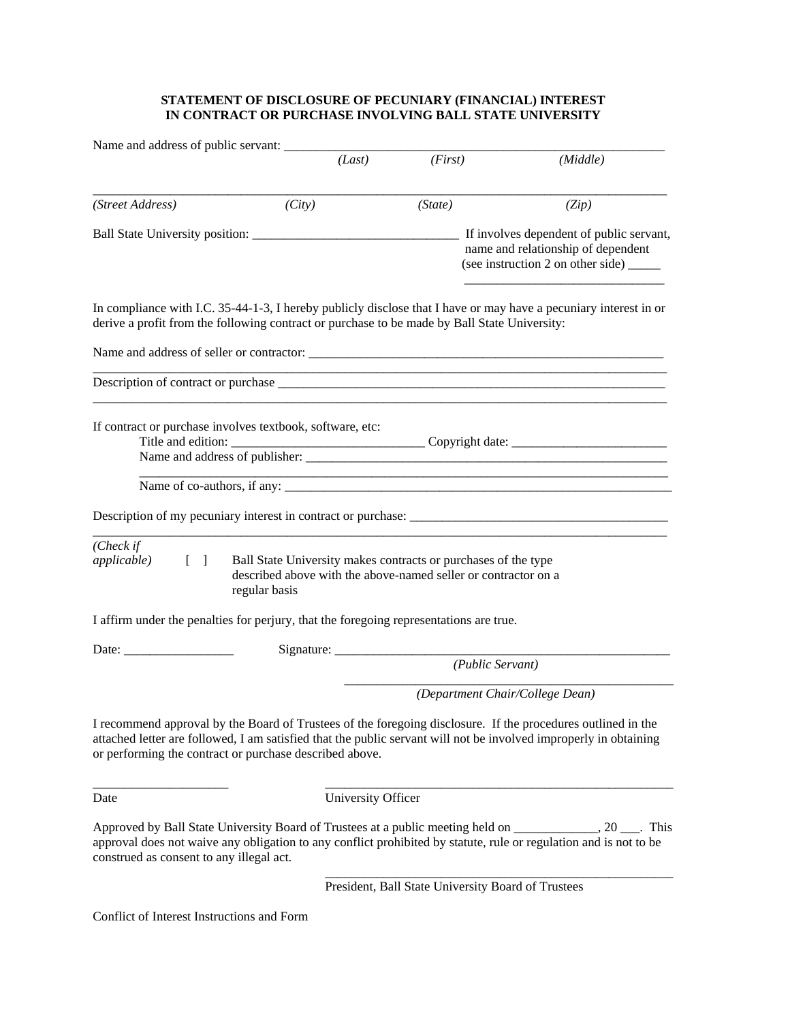## **STATEMENT OF DISCLOSURE OF PECUNIARY (FINANCIAL) INTEREST IN CONTRACT OR PURCHASE INVOLVING BALL STATE UNIVERSITY**

| Name and address of public servant:                                   |                                                                                                                                                                         |                                                                                   |                                                                                                                                                                                                                                |
|-----------------------------------------------------------------------|-------------------------------------------------------------------------------------------------------------------------------------------------------------------------|-----------------------------------------------------------------------------------|--------------------------------------------------------------------------------------------------------------------------------------------------------------------------------------------------------------------------------|
|                                                                       | (Last)                                                                                                                                                                  | (First)                                                                           | (Middle)                                                                                                                                                                                                                       |
| (Street Address)                                                      | (City)                                                                                                                                                                  | (State)                                                                           | (Zip)                                                                                                                                                                                                                          |
|                                                                       |                                                                                                                                                                         |                                                                                   | Ball State University position: The Manuscript of public servant,<br>name and relationship of dependent<br>(see instruction 2 on other side) ______                                                                            |
|                                                                       | derive a profit from the following contract or purchase to be made by Ball State University:                                                                            |                                                                                   | In compliance with I.C. 35-44-1-3, I hereby publicly disclose that I have or may have a pecuniary interest in or                                                                                                               |
|                                                                       |                                                                                                                                                                         |                                                                                   |                                                                                                                                                                                                                                |
|                                                                       |                                                                                                                                                                         |                                                                                   |                                                                                                                                                                                                                                |
|                                                                       | If contract or purchase involves textbook, software, etc:                                                                                                               |                                                                                   |                                                                                                                                                                                                                                |
|                                                                       | Name of co-authors, if any:                                                                                                                                             |                                                                                   |                                                                                                                                                                                                                                |
|                                                                       |                                                                                                                                                                         |                                                                                   |                                                                                                                                                                                                                                |
| (Check if<br><i>applicable</i> )<br>$\begin{bmatrix} 1 \end{bmatrix}$ | Ball State University makes contracts or purchases of the type<br>described above with the above-named seller or contractor on a<br>regular basis                       |                                                                                   |                                                                                                                                                                                                                                |
|                                                                       | I affirm under the penalties for perjury, that the foregoing representations are true.                                                                                  |                                                                                   |                                                                                                                                                                                                                                |
|                                                                       |                                                                                                                                                                         | Signature: $\frac{1}{\sqrt{1-\frac{1}{2}} \cdot \frac{1}{2}}$<br>(Public Servant) |                                                                                                                                                                                                                                |
|                                                                       |                                                                                                                                                                         |                                                                                   | (Department Chair/College Dean)                                                                                                                                                                                                |
|                                                                       | I recommend approval by the Board of Trustees of the foregoing disclosure. If the procedures outlined in the<br>or performing the contract or purchase described above. |                                                                                   | attached letter are followed, I am satisfied that the public servant will not be involved improperly in obtaining                                                                                                              |
| Date                                                                  | University Officer                                                                                                                                                      |                                                                                   |                                                                                                                                                                                                                                |
| construed as consent to any illegal act.                              |                                                                                                                                                                         |                                                                                   | Approved by Ball State University Board of Trustees at a public meeting held on ___________, 20 ___. This<br>approval does not waive any obligation to any conflict prohibited by statute, rule or regulation and is not to be |
|                                                                       |                                                                                                                                                                         | President, Ball State University Board of Trustees                                |                                                                                                                                                                                                                                |
| Conflict of Interest Instructions and Form                            |                                                                                                                                                                         |                                                                                   |                                                                                                                                                                                                                                |